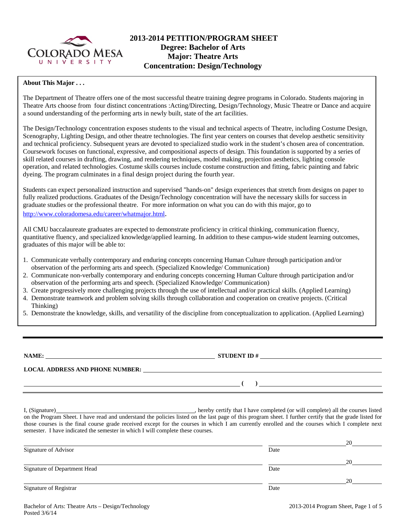

# **2013-2014 PETITION/PROGRAM SHEET Degree: Bachelor of Arts Major: Theatre Arts Concentration: Design/Technology**

### **About This Major . . .**

The Department of Theatre offers one of the most successful theatre training degree programs in Colorado. Students majoring in Theatre Arts choose from four distinct concentrations :Acting/Directing, Design/Technology, Music Theatre or Dance and acquire a sound understanding of the performing arts in newly built, state of the art facilities.

The Design/Technology concentration exposes students to the visual and technical aspects of Theatre, including Costume Design, Scenography, Lighting Design, and other theatre technologies. The first year centers on courses that develop aesthetic sensitivity and technical proficiency. Subsequent years are devoted to specialized studio work in the student's chosen area of concentration. Coursework focuses on functional, expressive, and compositional aspects of design. This foundation is supported by a series of skill related courses in drafting, drawing, and rendering techniques, model making, projection aesthetics, lighting console operation, and related technologies. Costume skills courses include costume construction and fitting, fabric painting and fabric dyeing. The program culminates in a final design project during the fourth year.

Students can expect personalized instruction and supervised "hands-on" design experiences that stretch from designs on paper to fully realized productions. Graduates of the Design/Technology concentration will have the necessary skills for success in graduate studies or the professional theatre. For more information on what you can do with this major, go to http://www.coloradomesa.edu/career/whatmajor.html.

All CMU baccalaureate graduates are expected to demonstrate proficiency in critical thinking, communication fluency, quantitative fluency, and specialized knowledge/applied learning. In addition to these campus-wide student learning outcomes, graduates of this major will be able to:

- 1. Communicate verbally contemporary and enduring concepts concerning Human Culture through participation and/or observation of the performing arts and speech. (Specialized Knowledge/ Communication)
- 2. Communicate non-verbally contemporary and enduring concepts concerning Human Culture through participation and/or observation of the performing arts and speech. (Specialized Knowledge/ Communication)
- 3. Create progressively more challenging projects through the use of intellectual and/or practical skills. (Applied Learning)
- 4. Demonstrate teamwork and problem solving skills through collaboration and cooperation on creative projects. (Critical Thinking)
- 5. Demonstrate the knowledge, skills, and versatility of the discipline from conceptualization to application. (Applied Learning)

**NAME: STUDENT ID #** 

**LOCAL ADDRESS AND PHONE NUMBER:**

 **( )** 

I, (Signature) **Solution** (Signature) **Constant Constant Constant Constant Constant Constant Constant Constant Constant Constant Constant Constant Constant Constant Constant Constant Constant Constant Constant Constant Con** on the Program Sheet. I have read and understand the policies listed on the last page of this program sheet. I further certify that the grade listed for those courses is the final course grade received except for the courses in which I am currently enrolled and the courses which I complete next semester. I have indicated the semester in which I will complete these courses.

|                              |      | 20 |
|------------------------------|------|----|
| Signature of Advisor         | Date |    |
|                              |      | 20 |
| Signature of Department Head | Date |    |
|                              |      | 20 |
| Signature of Registrar       | Date |    |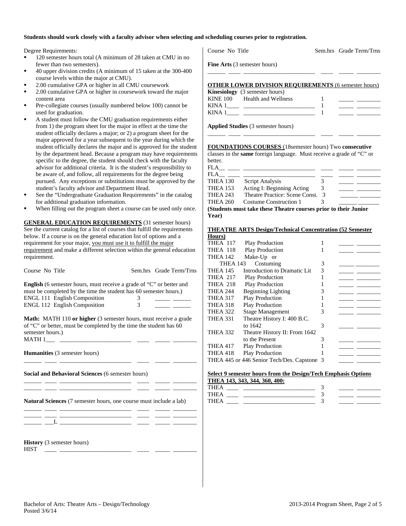#### **Students should work closely with a faculty advisor when selecting and scheduling courses prior to registration.**

Degree Requirements:

- <sup>120</sup> semester hours total (A minimum of 28 taken at CMU in no fewer than two semesters).
- 40 upper division credits (A minimum of 15 taken at the 300-400 course levels within the major at CMU).
- 2.00 cumulative GPA or higher in all CMU coursework
- 2.00 cumulative GPA or higher in coursework toward the major content area
- Pre-collegiate courses (usually numbered below 100) cannot be used for graduation.
- A student must follow the CMU graduation requirements either from 1) the program sheet for the major in effect at the time the student officially declares a major; or 2) a program sheet for the major approved for a year subsequent to the year during which the student officially declares the major and is approved for the student by the department head. Because a program may have requirements specific to the degree, the student should check with the faculty advisor for additional criteria. It is the student's responsibility to be aware of, and follow, all requirements for the degree being pursued. Any exceptions or substitutions must be approved by the student's faculty advisor and Department Head.
- See the "Undergraduate Graduation Requirements" in the catalog for additional graduation information.
- When filling out the program sheet a course can be used only once.

**GENERAL EDUCATION REQUIREMENTS** (31 semester hours) See the current catalog for a list of courses that fulfill the requirements below. If a course is on the general education list of options and a requirement for your major, you must use it to fulfill the major requirement and make a different selection within the general education requirement.

| Course No Title                                                                                                                                                                                                                                                          |   | Sem.hrs Grade Term/Trns |
|--------------------------------------------------------------------------------------------------------------------------------------------------------------------------------------------------------------------------------------------------------------------------|---|-------------------------|
| English (6 semester hours, must receive a grade of "C" or better and                                                                                                                                                                                                     |   |                         |
| must be completed by the time the student has 60 semester hours.)                                                                                                                                                                                                        |   |                         |
| ENGL 111 English Composition                                                                                                                                                                                                                                             | 3 |                         |
| ENGL 112 English Composition                                                                                                                                                                                                                                             | 3 |                         |
| <b>Math:</b> MATH 110 or higher (3 semester hours, must receive a grade<br>of "C" or better, must be completed by the time the student has 60<br>semester hours.)                                                                                                        |   |                         |
| Humanities (3 semester hours)                                                                                                                                                                                                                                            |   |                         |
| Social and Behavioral Sciences (6 semester hours)                                                                                                                                                                                                                        |   |                         |
| <u> 1989 - Johann Harry Harry Harry Harry Harry Harry Harry Harry Harry Harry Harry Harry Harry Harry Harry Harry</u><br><b>Natural Sciences</b> (7 semester hours, one course must include a lab)<br><u> 1980 - Antonio Alemania, prima postala provincia (n. 1914)</u> |   |                         |
| <u> Alexandria de la contrada de la contrada de la contrada de la contrada de la contrada de la contrada de la c</u>                                                                                                                                                     |   |                         |
| <b>History</b> (3 semester hours)<br><b>HIST</b>                                                                                                                                                                                                                         |   |                         |

| <b>OTHER LOWER DIVISION REQUIREMENTS (6 semester hours)</b> |  |
|-------------------------------------------------------------|--|
| <b>Kinesiology</b> (3 semester hours)                       |  |
| <b>KINE 100</b><br>Health and Wellness                      |  |
| KINA 1                                                      |  |

Course No Title Sem.hrs Grade Term/Trns

**Applied Studies** (3 semester hours)

KINA  $1$   $1$ 

**Fine Arts** (3 semester hours)

#### **FOUNDATIONS COURSES** (18semester hours) Two **consecutive**

\_\_\_\_\_\_ \_\_\_\_ \_\_\_\_\_\_\_\_\_\_\_\_\_\_\_\_\_\_\_\_\_\_\_\_ \_\_\_\_ \_\_\_\_\_ \_\_\_\_\_\_\_\_

classes in the **same** foreign language. Must receive a grade of "C" or better.

| <b>FLA</b>      |                                                                 |   |  |
|-----------------|-----------------------------------------------------------------|---|--|
| FLA             |                                                                 |   |  |
| <b>THEA 130</b> | Script Analysis                                                 |   |  |
| <b>THEA 153</b> | Acting I: Beginning Acting                                      | 3 |  |
| <b>THEA 243</b> | Theatre Practice: Scene Const.                                  | 3 |  |
| <b>THEA 260</b> | Costume Construction 1                                          |   |  |
|                 | (Students must take these Theatre courses prior to their Junior |   |  |
| Year)           |                                                                 |   |  |

| <b>THEATRE ARTS Design/Technical Concentration (52 Semester</b> |  |
|-----------------------------------------------------------------|--|
|                                                                 |  |

| Hours)          |                                             |   |  |
|-----------------|---------------------------------------------|---|--|
| THEA 117        | <b>Play Production</b>                      |   |  |
| THEA 118        | <b>Play Production</b>                      |   |  |
| <b>THEA 142</b> | Make-Up or                                  |   |  |
| THEA 143        | Costuming                                   | 3 |  |
| <b>THEA 145</b> | Introduction to Dramatic Lit                | 3 |  |
| THEA 217        | Play Production                             |   |  |
| <b>THEA 218</b> | <b>Play Production</b>                      |   |  |
| <b>THEA 244</b> | <b>Beginning Lighting</b>                   | 3 |  |
| <b>THEA 317</b> | <b>Play Production</b>                      |   |  |
| THEA 318        | <b>Play Production</b>                      |   |  |
| <b>THEA 322</b> | <b>Stage Management</b>                     | 3 |  |
| <b>THEA 331</b> | Theatre History I: 400 B.C.                 |   |  |
|                 | to 1642                                     | 3 |  |
| <b>THEA 332</b> | Theatre History II: From 1642               |   |  |
|                 | to the Present                              | 3 |  |
| <b>THEA 417</b> | <b>Play Production</b>                      |   |  |
| THEA 418        | <b>Play Production</b>                      |   |  |
|                 | THEA 445 or 446 Senior Tech/Des. Capstone 3 |   |  |
|                 |                                             |   |  |

#### **Select 9 semester hours from the Design/Tech Emphasis Options THEA 143, 343, 344, 360, 400:**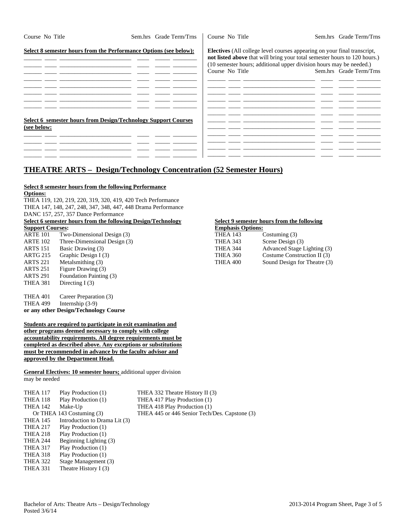| Course No Title                                                                      | Sem.hrs Grade Term/Trns | Course No Title | Sem.hrs Grade Term/Trns                                                                                                                                                                                                                                        |
|--------------------------------------------------------------------------------------|-------------------------|-----------------|----------------------------------------------------------------------------------------------------------------------------------------------------------------------------------------------------------------------------------------------------------------|
| Select 8 semester hours from the Performance Options (see below):                    |                         | Course No Title | <b>Electives</b> (All college level courses appearing on your final transcript,<br>not listed above that will bring your total semester hours to 120 hours.)<br>(10 semester hours; additional upper division hours may be needed.)<br>Sem.hrs Grade Term/Trns |
|                                                                                      |                         |                 |                                                                                                                                                                                                                                                                |
| <b>Select 6 semester hours from Design/Technology Support Courses</b><br>(see below: |                         |                 |                                                                                                                                                                                                                                                                |
|                                                                                      |                         |                 |                                                                                                                                                                                                                                                                |

# **THEATRE ARTS – Design/Technology Concentration (52 Semester Hours)**

## **Select 8 semester hours from the following Performance**

**Options:** 

THEA 119, 120, 219, 220, 319, 320, 419, 420 Tech Performance THEA 147, 148, 247, 248, 347, 348, 447, 448 Drama Performance DANC 157, 257, 357 Dance Performance

#### **Select 6 semester hours from the following Design/Technology Select 9 semester hours from the following <br>
Support Courses: Support Courses:**

| --------------- |                              |                 |                         |
|-----------------|------------------------------|-----------------|-------------------------|
| ARTE 101        | Two-Dimensional Design (3)   | <b>THEA 143</b> | Costuming $(3)$         |
| ARTE 102        | Three-Dimensional Design (3) | THEA 343        | Scene Design (3)        |
| ARTS 151        | Basic Drawing (3)            | THEA 344        | <b>Advanced Stage I</b> |
| ARTG 215        | Graphic Design I (3)         | <b>THEA 360</b> | Costume Construe        |
| ARTS 221        | Metalsmithing (3)            | THEA 400        | Sound Design for        |
| ARTS 251        | Figure Drawing (3)           |                 |                         |
| ARTS 291        | Foundation Painting (3)      |                 |                         |
| THEA 381        | Directing $I(3)$             |                 |                         |
|                 |                              |                 |                         |

THEA 401 Career Preparation (3) THEA 499 Internship (3-9) **or any other Design/Technology Course** 

#### **Students are required to participate in exit examination and other programs deemed necessary to comply with college accountability requirements. All degree requirements must be completed as described above. Any exceptions or substitutions must be recommended in advance by the faculty advisor and approved by the Department Head.**

**General Electives: 10 semester hours;** additional upper division may be needed

| THEA 117        | Play Production (1)           | THEA 332 Theatre History II (3)               |
|-----------------|-------------------------------|-----------------------------------------------|
| THEA 118        | Play Production (1)           | THEA 417 Play Production (1)                  |
| THEA 142        | Make-Up                       | THEA 418 Play Production (1)                  |
|                 | Or THEA 143 Costuming (3)     | THEA 445 or 446 Senior Tech/Des. Capstone (3) |
| <b>THEA 145</b> | Introduction to Drama Lit (3) |                                               |
| <b>THEA 217</b> | Play Production (1)           |                                               |
| THEA 218        | Play Production (1)           |                                               |
| THEA 244        | Beginning Lighting (3)        |                                               |
| <b>THEA 317</b> | Play Production (1)           |                                               |
| THEA 318        | Play Production (1)           |                                               |
| THEA 322        | Stage Management (3)          |                                               |
| THEA 331        | Theatre History $I(3)$        |                                               |
|                 |                               |                                               |

| ыпры с соцівся: |                              | <b>Emphasis</b> Options: |                              |
|-----------------|------------------------------|--------------------------|------------------------------|
| ARTE 101        | Two-Dimensional Design (3)   | <b>THEA 143</b>          | Costuming $(3)$              |
| ARTE 102        | Three-Dimensional Design (3) | THEA 343                 | Scene Design (3)             |
| ARTS 151        | Basic Drawing (3)            | THEA 344                 | Advanced Stage Lighting (3)  |
| ARTG 215        | Graphic Design I (3)         | THEA 360                 | Costume Construction II (3)  |
| ARTS 221        | Metalsmithing (3)            | THEA 400                 | Sound Design for Theatre (3) |
|                 |                              |                          |                              |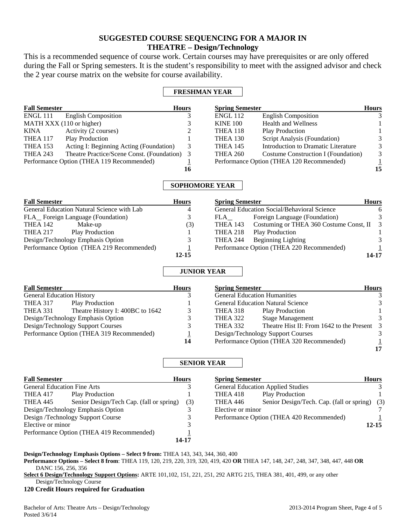# **SUGGESTED COURSE SEQUENCING FOR A MAJOR IN THEATRE – Design/Technology**

This is a recommended sequence of course work. Certain courses may have prerequisites or are only offered during the Fall or Spring semesters. It is the student's responsibility to meet with the assigned advisor and check the 2 year course matrix on the website for course availability.

## **FRESHMAN YEAR**

| <b>Fall Semester</b> |                                            | <b>Hours</b> | <b>Spring Semester</b> |                                           | <b>Hours</b> |
|----------------------|--------------------------------------------|--------------|------------------------|-------------------------------------------|--------------|
| ENGL 111             | <b>English Composition</b>                 |              | <b>ENGL 112</b>        | <b>English Composition</b>                |              |
|                      | MATH XXX (110 or higher)                   |              | <b>KINE 100</b>        | <b>Health and Wellness</b>                |              |
| KINA                 | Activity (2 courses)                       |              | THEA 118               | <b>Play Production</b>                    |              |
| THEA 117             | <b>Play Production</b>                     |              | THEA 130               | Script Analysis (Foundation)              | 3            |
| <b>THEA 153</b>      | Acting I: Beginning Acting (Foundation)    | 3            | <b>THEA 145</b>        | Introduction to Dramatic Literature       | 3            |
| <b>THEA 243</b>      | Theatre Practice/Scene Const. (Foundation) | 3            | <b>THEA 260</b>        | Costume Construction I (Foundation)       | 3            |
|                      | Performance Option (THEA 119 Recommended)  |              |                        | Performance Option (THEA 120 Recommended) |              |
|                      |                                            | 16           |                        |                                           | 15           |

## **SOPHOMORE YEAR**

| <b>Fall Semester</b>                       | <b>Hours</b> | <b>Spring Semester</b>                                | <b>Hours</b> |
|--------------------------------------------|--------------|-------------------------------------------------------|--------------|
| General Education Natural Science with Lab | 4            | General Education Social/Behavioral Science           | 6            |
| FLA Foreign Language (Foundation)          |              | Foreign Language (Foundation)<br>FLA                  | 3            |
| THEA 142<br>Make-up                        | (3)          | Costuming or THEA 360 Costume Const, II 3<br>THEA 143 |              |
| <b>Play Production</b><br><b>THEA 217</b>  |              | Play Production<br>THEA 218                           |              |
| Design/Technology Emphasis Option          |              | <b>Beginning Lighting</b><br>THEA 244                 |              |
| Performance Option (THEA 219 Recommended)  |              | Performance Option (THEA 220 Recommended)             |              |
|                                            | $12 - 15$    |                                                       | 14-17        |

## **JUNIOR YEAR**

| <b>Fall Semester</b>                      |                                  | <b>Hours</b> | <b>Spring Semester</b>                    |                                             | <b>Hours</b> |
|-------------------------------------------|----------------------------------|--------------|-------------------------------------------|---------------------------------------------|--------------|
| <b>General Education History</b>          |                                  |              |                                           | <b>General Education Humanities</b>         |              |
| <b>THEA 317</b>                           | <b>Play Production</b>           |              |                                           | <b>General Education Natural Science</b>    |              |
| THEA 331                                  | Theatre History I: 400BC to 1642 |              | THEA 318                                  | <b>Play Production</b>                      |              |
| Design/Technology Emphasis Option         |                                  |              | <b>THEA 322</b>                           | <b>Stage Management</b>                     |              |
| Design/Technology Support Courses         |                                  |              | THEA 332                                  | Theatre Hist II: From 1642 to the Present 3 |              |
| Performance Option (THEA 319 Recommended) |                                  |              | Design/Technology Support Courses         |                                             |              |
|                                           |                                  | 14           | Performance Option (THEA 320 Recommended) |                                             |              |
|                                           |                                  |              |                                           |                                             | 17           |

## **SENIOR YEAR**

| <b>Fall Semester</b>               |                                           | <b>Hours</b> |
|------------------------------------|-------------------------------------------|--------------|
| <b>General Education Fine Arts</b> |                                           |              |
| THEA 417                           | <b>Play Production</b>                    |              |
| <b>THEA 445</b>                    | Senior Design/Tech Cap. (fall or spring)  | (3)          |
| Design/Technology Emphasis Option  |                                           | 3            |
|                                    | Design /Technology Support Course         | 3            |
| Elective or minor                  |                                           | 3            |
|                                    | Performance Option (THEA 419 Recommended) |              |
|                                    |                                           | 14-17        |

| <b>Spring Semester</b> |                                           | <b>Hours</b> |
|------------------------|-------------------------------------------|--------------|
|                        | <b>General Education Applied Studies</b>  |              |
| <b>THEA 418</b>        | <b>Play Production</b>                    |              |
| <b>THEA 446</b>        | Senior Design/Tech. Cap. (fall or spring) | (3)          |
| Elective or minor      |                                           |              |
|                        | Performance Option (THEA 420 Recommended) |              |
|                        |                                           | 12.15        |

**Design/Technology Emphasis Options – Select 9 from:** THEA 143, 343, 344, 360, 400

**Performance Options – Select 8 from**: THEA 119, 120, 219, 220, 319, 320, 419, 420 **OR** THEA 147, 148, 247, 248, 347, 348, 447, 448 **OR** DANC 156, 256, 356

**Select 6 Design/Technology Support Options:** ARTE 101,102, 151, 221, 251, 292 ARTG 215, THEA 381, 401, 499, or any other Design/Technology Course

**120 Credit Hours required for Graduation**